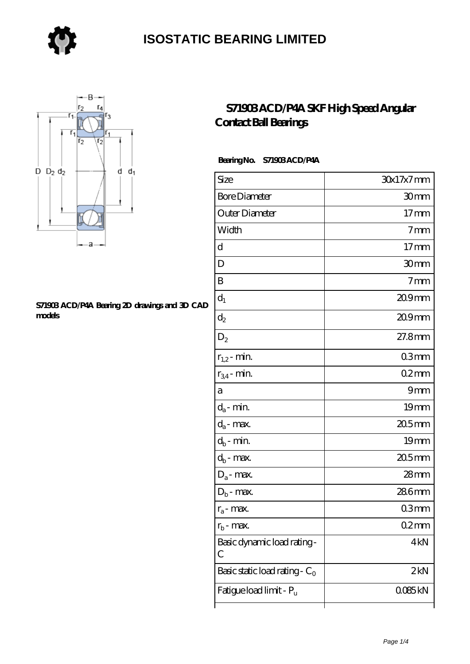

### **[ISOSTATIC BEARING LIMITED](https://store-isabelmarant.com)**



#### **[S71903 ACD/P4A Bearing 2D drawings and 3D CAD](https://store-isabelmarant.com/pic-931627.html) [models](https://store-isabelmarant.com/pic-931627.html)**

### **[S71903 ACD/P4A SKF High Speed Angular](https://store-isabelmarant.com/skf-bearings/s71903-acd-p4a.html) [Contact Ball Bearings](https://store-isabelmarant.com/skf-bearings/s71903-acd-p4a.html)**

#### **Bearing No. S71903 ACD/P4A**

| Size                             | 30x17x7mm           |
|----------------------------------|---------------------|
| <b>Bore Diameter</b>             | 30mm                |
| Outer Diameter                   | 17 <sub>mm</sub>    |
| Width                            | 7 <sub>mm</sub>     |
| d                                | 17 <sub>mm</sub>    |
| D                                | 30 <sub>mm</sub>    |
| B                                | 7 <sub>mm</sub>     |
| $d_1$                            | 209mm               |
| $\mathrm{d}_2$                   | $209$ mm            |
| $D_2$                            | 27.8mm              |
| $r_{1,2}$ - min.                 | 03mm                |
| $r_{34}$ - min.                  | 02mm                |
| а                                | 9mm                 |
| $d_a$ - min.                     | 19 <sub>mm</sub>    |
| $d_a$ - max.                     | $205$ mm            |
| $d_b$ - $\min$                   | 19 <sub>mm</sub>    |
| $d_b$ - $\max$                   | $205$ <sub>mm</sub> |
| $D_a$ - max.                     | $28$ mm             |
| $D_b$ - max.                     | 286mm               |
| $r_a$ - max.                     | 03mm                |
| $rb$ - max.                      | 02mm                |
| Basic dynamic load rating-<br>С  | 4kN                 |
| Basic static load rating - $C_0$ | 2kN                 |
| Fatigue load limit - Pu          | 0085kN              |
|                                  |                     |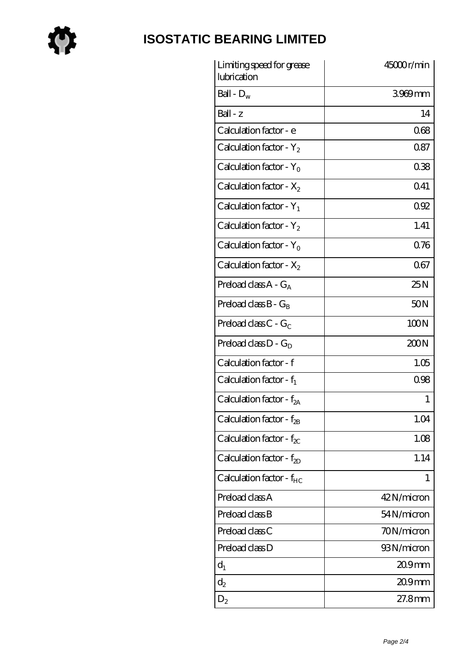

# **[ISOSTATIC BEARING LIMITED](https://store-isabelmarant.com)**

| Limiting speed for grease<br>lubrication | 45000r/min      |
|------------------------------------------|-----------------|
| Ball - $D_w$                             | 3969mm          |
| $Ball - z$                               | 14              |
| Calculation factor - e                   | 068             |
| Calculation factor - $Y_2$               | 087             |
| Calculation factor - $Y_0$               | 038             |
| Calculation factor - $X_2$               | 041             |
| Calculation factor - $Y_1$               | 0.92            |
| Calculation factor - $Y_2$               | 1.41            |
| Calculation factor - $Y_0$               | 076             |
| Calculation factor - $X_2$               | 067             |
| Preload class $A - G_A$                  | 25N             |
| Preload class $B - G_B$                  | 50 <sub>N</sub> |
| Preload class C - $G_C$                  | 100N            |
| Preload class $D - G_D$                  | 200N            |
| Calculation factor - f                   | 1.05            |
| Calculation factor - $f_1$               | 0.98            |
| Calculation factor - f <sub>2A</sub>     | 1               |
| Calculation factor - $f_{2B}$            | 1.04            |
| Calculation factor - $f_{\chi}$          | 1.08            |
| Calculation factor - $f_{2D}$            | 1.14            |
| Calculation factor - $f_{HC}$            | 1               |
| Preload class A                          | 42N/micron      |
| Preload class B                          | 54N/micron      |
| Preload class C                          | 70N/micron      |
| Preload class D                          | 93N/micron      |
| $d_1$                                    | $209$ mm        |
| $d_2$                                    | 20.9mm          |
| $D_2$                                    | 27.8mm          |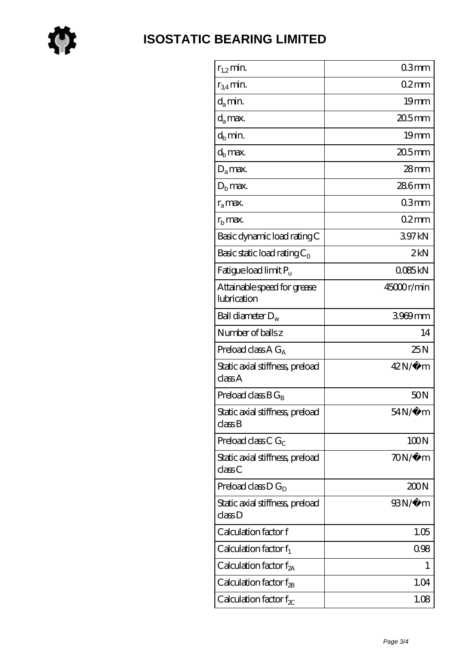

| $r_{1,2}$ min.                             | 03mm                |
|--------------------------------------------|---------------------|
| $r_{34}$ min.                              | 02mm                |
| $d_a$ min.                                 | 19 <sub>mm</sub>    |
| $d_a$ max.                                 | $205$ <sub>mm</sub> |
| $d_h$ min.                                 | 19mm                |
| $d_h$ max.                                 | $205$ mm            |
| $D_a$ max.                                 | 28mm                |
| $D_{b}$ max.                               | 286mm               |
| $r_a$ max.                                 | 03mm                |
| $rb$ max.                                  | 02mm                |
| Basic dynamic load rating C                | 397kN               |
| Basic static load rating $C_0$             | 2kN                 |
| Fatigue load limit P <sub>u</sub>          | 0085kN              |
| Attainable speed for grease<br>lubrication | 45000r/min          |
| Ball diameter $D_w$                        | 3969mm              |
| Number of balls z                          | 14                  |
| Preload class A G <sub>A</sub>             | 25N                 |
| Static axial stiffness, preload<br>classA  | $42N/\mu$ m         |
| Preload class $BG_B$                       | 50N                 |
| Static axial stiffness, preload<br>classB  | 54N/μ m             |
| Preload class C $G_C$                      | 100N                |
| Static axial stiffness, preload<br>classC  | $70N/\mu$ m         |
| Preload class $D G_D$                      | 200N                |
| Static axial stiffness, preload<br>classD  | 93N/μ m             |
| Calculation factor f                       | 1.05                |
| Calculation factor $f_1$                   | 0.98                |
| C alculation factor $f_{2A}$               | 1                   |
| Calculation factor $f_{\rm 2B}$            | 1.04                |
| Calculation factor $f_{\chi}$              | 1.08                |